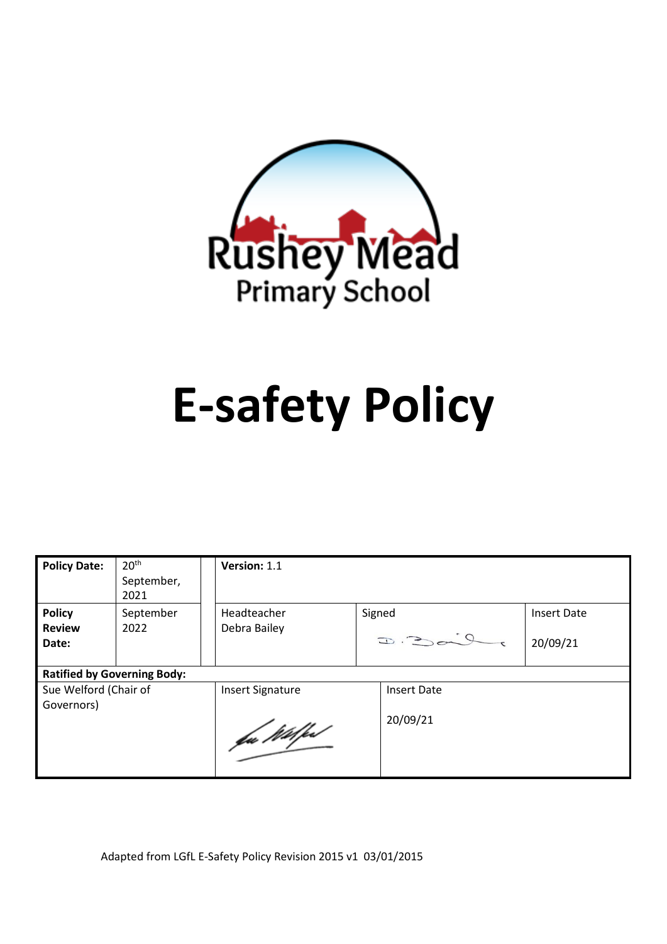

# **E-safety Policy**

| <b>Policy Date:</b>                | 20 <sup>th</sup><br>September,<br>2021 | Version: 1.1            |        |                             |                    |  |
|------------------------------------|----------------------------------------|-------------------------|--------|-----------------------------|--------------------|--|
| <b>Policy</b>                      | September                              | Headteacher             | Signed |                             | <b>Insert Date</b> |  |
| <b>Review</b><br>Date:             | 2022                                   | Debra Bailey            |        | $\Rightarrow$ $\Rightarrow$ | 20/09/21           |  |
| <b>Ratified by Governing Body:</b> |                                        |                         |        |                             |                    |  |
| Sue Welford (Chair of              |                                        | <b>Insert Signature</b> |        | <b>Insert Date</b>          |                    |  |
| Governors)                         |                                        | fa Wilfest              |        | 20/09/21                    |                    |  |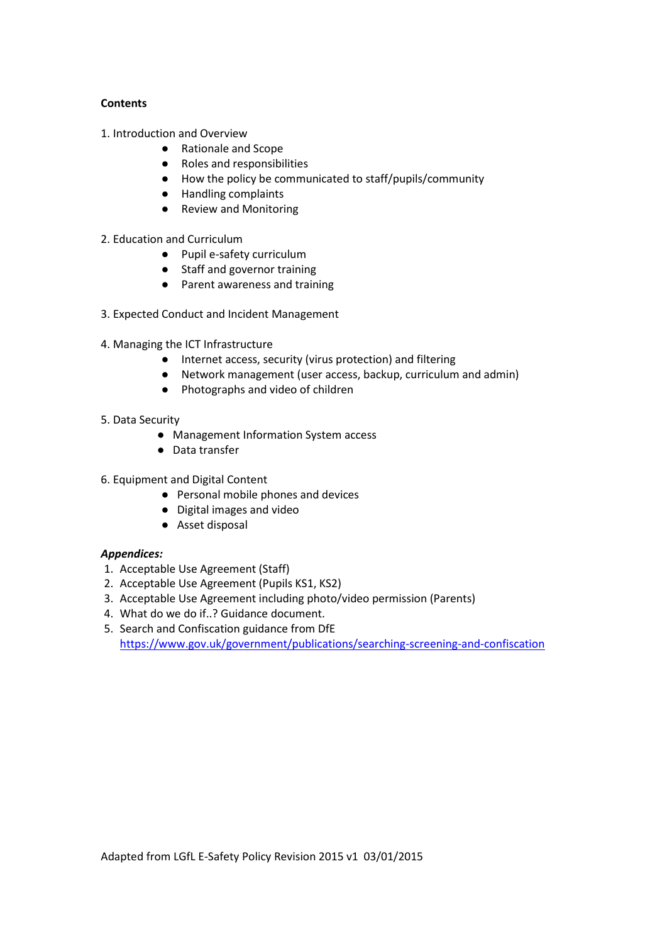## **Contents**

- 1. Introduction and Overview
	- Rationale and Scope
	- Roles and responsibilities
	- How the policy be communicated to staff/pupils/community
	- Handling complaints
	- Review and Monitoring
- 2. Education and Curriculum
	- Pupil e-safety curriculum
	- Staff and governor training
	- Parent awareness and training
- 3. Expected Conduct and Incident Management
- 4. Managing the ICT Infrastructure
	- Internet access, security (virus protection) and filtering
	- Network management (user access, backup, curriculum and admin)
	- Photographs and video of children
- 5. Data Security
	- Management Information System access
	- Data transfer
- 6. Equipment and Digital Content
	- Personal mobile phones and devices
	- Digital images and video
	- Asset disposal

## *Appendices:*

- 1. Acceptable Use Agreement (Staff)
- 2. Acceptable Use Agreement (Pupils KS1, KS2)
- 3. Acceptable Use Agreement including photo/video permission (Parents)
- 4. What do we do if..? Guidance document.
- 5. Search and Confiscation guidance from DfE <https://www.gov.uk/government/publications/searching-screening-and-confiscation>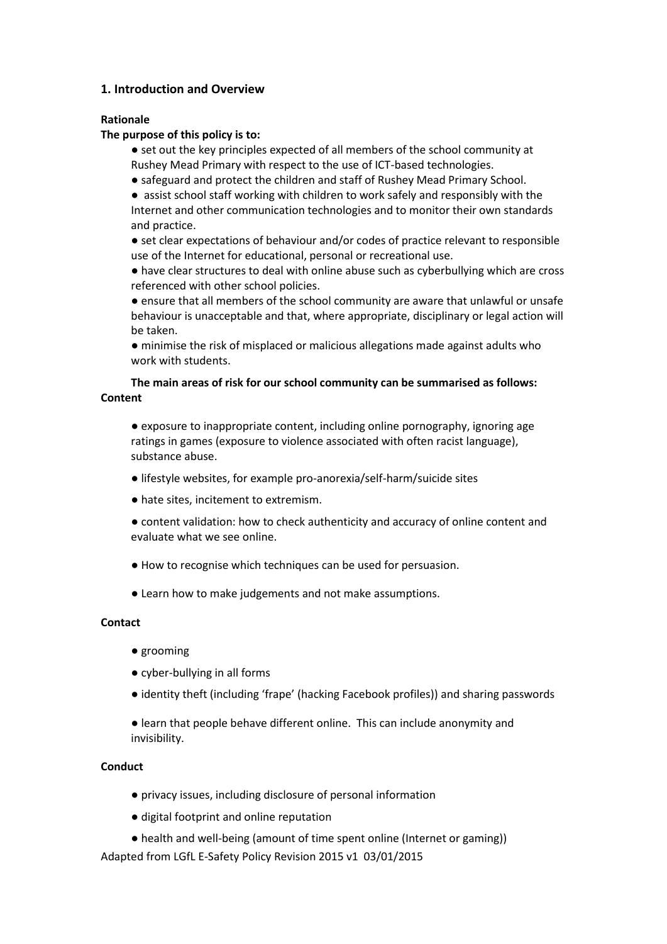# **1. Introduction and Overview**

## **Rationale**

## **The purpose of this policy is to:**

- set out the key principles expected of all members of the school community at Rushey Mead Primary with respect to the use of ICT-based technologies.
- safeguard and protect the children and staff of Rushey Mead Primary School.
- assist school staff working with children to work safely and responsibly with the

Internet and other communication technologies and to monitor their own standards and practice.

● set clear expectations of behaviour and/or codes of practice relevant to responsible use of the Internet for educational, personal or recreational use.

● have clear structures to deal with online abuse such as cyberbullying which are cross referenced with other school policies.

● ensure that all members of the school community are aware that unlawful or unsafe behaviour is unacceptable and that, where appropriate, disciplinary or legal action will be taken.

● minimise the risk of misplaced or malicious allegations made against adults who work with students.

## **The main areas of risk for our school community can be summarised as follows: Content**

● exposure to inappropriate content, including online pornography, ignoring age ratings in games (exposure to violence associated with often racist language), substance abuse.

- lifestyle websites, for example pro-anorexia/self-harm/suicide sites
- hate sites, incitement to extremism.
- content validation: how to check authenticity and accuracy of online content and evaluate what we see online.
- How to recognise which techniques can be used for persuasion.
- Learn how to make judgements and not make assumptions.

### **Contact**

- grooming
- cyber-bullying in all forms
- identity theft (including 'frape' (hacking Facebook profiles)) and sharing passwords
- learn that people behave different online. This can include anonymity and invisibility.

## **Conduct**

- privacy issues, including disclosure of personal information
- digital footprint and online reputation
- health and well-being (amount of time spent online (Internet or gaming))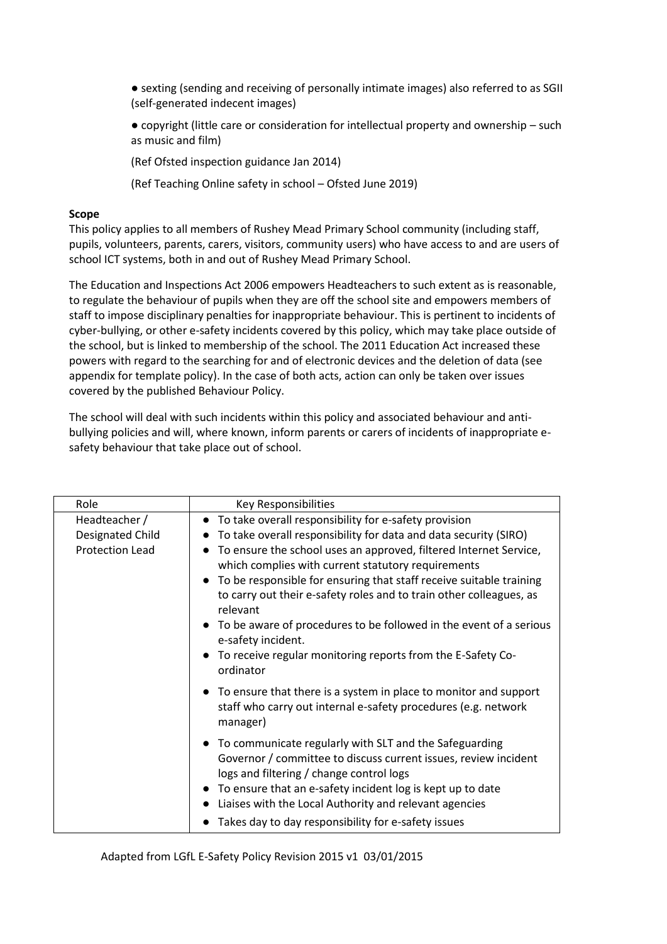- sexting (sending and receiving of personally intimate images) also referred to as SGII (self-generated indecent images)
- copyright (little care or consideration for intellectual property and ownership such as music and film)

(Ref Ofsted inspection guidance Jan 2014)

(Ref Teaching Online safety in school – Ofsted June 2019)

## **Scope**

This policy applies to all members of Rushey Mead Primary School community (including staff, pupils, volunteers, parents, carers, visitors, community users) who have access to and are users of school ICT systems, both in and out of Rushey Mead Primary School.

The Education and Inspections Act 2006 empowers Headteachers to such extent as is reasonable, to regulate the behaviour of pupils when they are off the school site and empowers members of staff to impose disciplinary penalties for inappropriate behaviour. This is pertinent to incidents of cyber-bullying, or other e-safety incidents covered by this policy, which may take place outside of the school, but is linked to membership of the school. The 2011 Education Act increased these powers with regard to the searching for and of electronic devices and the deletion of data (see appendix for template policy). In the case of both acts, action can only be taken over issues covered by the published Behaviour Policy.

The school will deal with such incidents within this policy and associated behaviour and antibullying policies and will, where known, inform parents or carers of incidents of inappropriate esafety behaviour that take place out of school.

| Role                                                        | Key Responsibilities                                                                                                                                                                                         |
|-------------------------------------------------------------|--------------------------------------------------------------------------------------------------------------------------------------------------------------------------------------------------------------|
| Headteacher /<br>Designated Child<br><b>Protection Lead</b> | To take overall responsibility for e-safety provision<br>To take overall responsibility for data and data security (SIRO)<br>To ensure the school uses an approved, filtered Internet Service,               |
|                                                             | which complies with current statutory requirements<br>To be responsible for ensuring that staff receive suitable training<br>to carry out their e-safety roles and to train other colleagues, as<br>relevant |
|                                                             | To be aware of procedures to be followed in the event of a serious<br>e-safety incident.                                                                                                                     |
|                                                             | To receive regular monitoring reports from the E-Safety Co-<br>ordinator                                                                                                                                     |
|                                                             | • To ensure that there is a system in place to monitor and support<br>staff who carry out internal e-safety procedures (e.g. network<br>manager)                                                             |
|                                                             | To communicate regularly with SLT and the Safeguarding<br>Governor / committee to discuss current issues, review incident<br>logs and filtering / change control logs                                        |
|                                                             | To ensure that an e-safety incident log is kept up to date<br>Liaises with the Local Authority and relevant agencies<br>$\bullet$                                                                            |
|                                                             | Takes day to day responsibility for e-safety issues                                                                                                                                                          |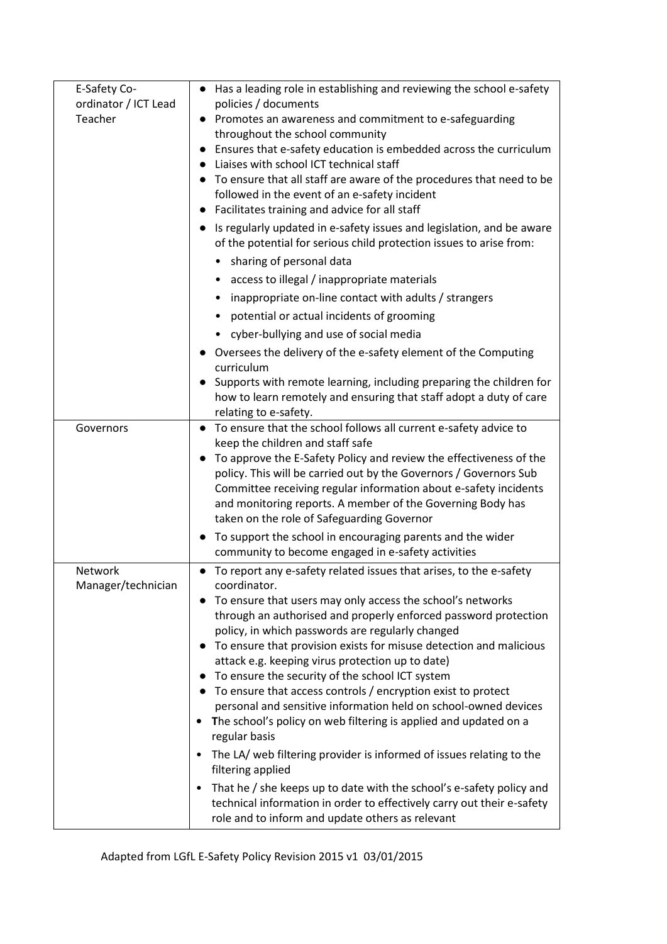| E-Safety Co-<br>ordinator / ICT Lead<br>Teacher | • Has a leading role in establishing and reviewing the school e-safety<br>policies / documents<br>Promotes an awareness and commitment to e-safeguarding<br>throughout the school community<br>Ensures that e-safety education is embedded across the curriculum<br>Liaises with school ICT technical staff<br>To ensure that all staff are aware of the procedures that need to be<br>followed in the event of an e-safety incident<br>Facilitates training and advice for all staff<br>Is regularly updated in e-safety issues and legislation, and be aware<br>of the potential for serious child protection issues to arise from:<br>sharing of personal data<br>access to illegal / inappropriate materials<br>inappropriate on-line contact with adults / strangers<br>٠<br>potential or actual incidents of grooming<br>• cyber-bullying and use of social media<br>Oversees the delivery of the e-safety element of the Computing<br>curriculum<br>Supports with remote learning, including preparing the children for<br>how to learn remotely and ensuring that staff adopt a duty of care<br>relating to e-safety. |
|-------------------------------------------------|-------------------------------------------------------------------------------------------------------------------------------------------------------------------------------------------------------------------------------------------------------------------------------------------------------------------------------------------------------------------------------------------------------------------------------------------------------------------------------------------------------------------------------------------------------------------------------------------------------------------------------------------------------------------------------------------------------------------------------------------------------------------------------------------------------------------------------------------------------------------------------------------------------------------------------------------------------------------------------------------------------------------------------------------------------------------------------------------------------------------------------|
| Governors                                       | • To ensure that the school follows all current e-safety advice to<br>keep the children and staff safe<br>To approve the E-Safety Policy and review the effectiveness of the<br>policy. This will be carried out by the Governors / Governors Sub<br>Committee receiving regular information about e-safety incidents<br>and monitoring reports. A member of the Governing Body has<br>taken on the role of Safeguarding Governor<br>To support the school in encouraging parents and the wider<br>community to become engaged in e-safety activities                                                                                                                                                                                                                                                                                                                                                                                                                                                                                                                                                                         |
| Network<br>Manager/technician                   | To report any e-safety related issues that arises, to the e-safety<br>coordinator.<br>To ensure that users may only access the school's networks<br>through an authorised and properly enforced password protection<br>policy, in which passwords are regularly changed<br>To ensure that provision exists for misuse detection and malicious<br>attack e.g. keeping virus protection up to date)<br>To ensure the security of the school ICT system<br>To ensure that access controls / encryption exist to protect<br>personal and sensitive information held on school-owned devices<br>The school's policy on web filtering is applied and updated on a<br>regular basis<br>The LA/ web filtering provider is informed of issues relating to the<br>$\bullet$<br>filtering applied<br>That he / she keeps up to date with the school's e-safety policy and<br>$\bullet$<br>technical information in order to effectively carry out their e-safety<br>role and to inform and update others as relevant                                                                                                                     |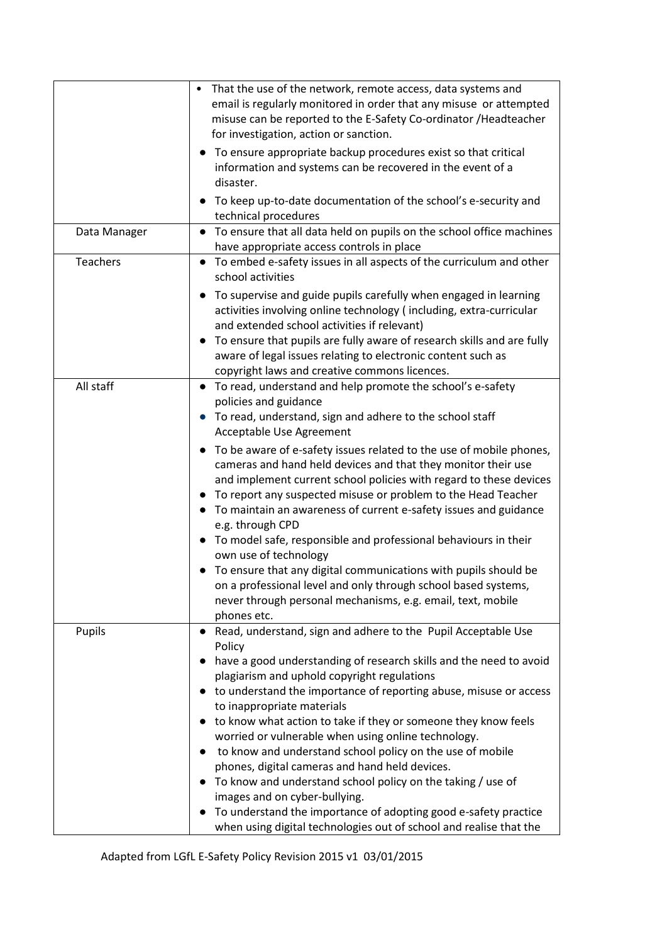|              | That the use of the network, remote access, data systems and<br>email is regularly monitored in order that any misuse or attempted<br>misuse can be reported to the E-Safety Co-ordinator / Headteacher<br>for investigation, action or sanction.<br>To ensure appropriate backup procedures exist so that critical<br>information and systems can be recovered in the event of a<br>disaster.<br>To keep up-to-date documentation of the school's e-security and<br>technical procedures                                                                                                                                                                                                                                                                                                                                                                                     |
|--------------|-------------------------------------------------------------------------------------------------------------------------------------------------------------------------------------------------------------------------------------------------------------------------------------------------------------------------------------------------------------------------------------------------------------------------------------------------------------------------------------------------------------------------------------------------------------------------------------------------------------------------------------------------------------------------------------------------------------------------------------------------------------------------------------------------------------------------------------------------------------------------------|
| Data Manager | To ensure that all data held on pupils on the school office machines<br>$\bullet$<br>have appropriate access controls in place                                                                                                                                                                                                                                                                                                                                                                                                                                                                                                                                                                                                                                                                                                                                                |
| Teachers     | To embed e-safety issues in all aspects of the curriculum and other<br>school activities                                                                                                                                                                                                                                                                                                                                                                                                                                                                                                                                                                                                                                                                                                                                                                                      |
|              | To supervise and guide pupils carefully when engaged in learning<br>activities involving online technology (including, extra-curricular<br>and extended school activities if relevant)<br>To ensure that pupils are fully aware of research skills and are fully<br>aware of legal issues relating to electronic content such as<br>copyright laws and creative commons licences.                                                                                                                                                                                                                                                                                                                                                                                                                                                                                             |
| All staff    | • To read, understand and help promote the school's e-safety<br>policies and guidance<br>• To read, understand, sign and adhere to the school staff<br>Acceptable Use Agreement<br>To be aware of e-safety issues related to the use of mobile phones,<br>cameras and hand held devices and that they monitor their use<br>and implement current school policies with regard to these devices<br>• To report any suspected misuse or problem to the Head Teacher<br>• To maintain an awareness of current e-safety issues and guidance<br>e.g. through CPD<br>• To model safe, responsible and professional behaviours in their<br>own use of technology<br>• To ensure that any digital communications with pupils should be<br>on a professional level and only through school based systems,<br>never through personal mechanisms, e.g. email, text, mobile<br>phones etc. |
| Pupils       | Read, understand, sign and adhere to the Pupil Acceptable Use<br>Policy<br>have a good understanding of research skills and the need to avoid<br>plagiarism and uphold copyright regulations<br>• to understand the importance of reporting abuse, misuse or access<br>to inappropriate materials<br>to know what action to take if they or someone they know feels<br>worried or vulnerable when using online technology.<br>to know and understand school policy on the use of mobile<br>phones, digital cameras and hand held devices.<br>To know and understand school policy on the taking / use of<br>images and on cyber-bullying.<br>To understand the importance of adopting good e-safety practice<br>when using digital technologies out of school and realise that the                                                                                            |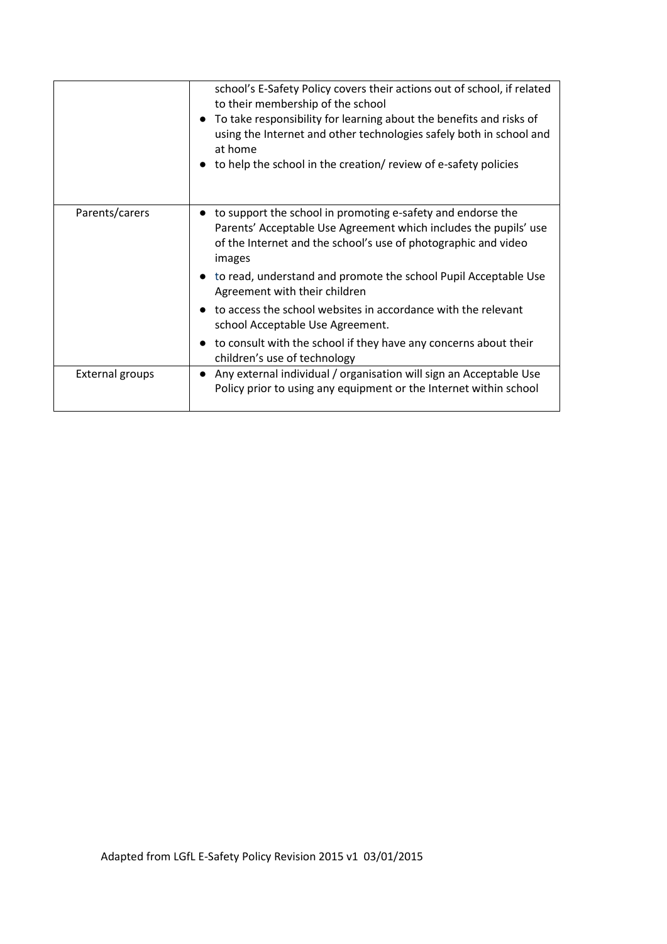|                        | school's E-Safety Policy covers their actions out of school, if related<br>to their membership of the school<br>To take responsibility for learning about the benefits and risks of<br>using the Internet and other technologies safely both in school and<br>at home<br>to help the school in the creation/review of e-safety policies |
|------------------------|-----------------------------------------------------------------------------------------------------------------------------------------------------------------------------------------------------------------------------------------------------------------------------------------------------------------------------------------|
| Parents/carers         | to support the school in promoting e-safety and endorse the<br>Parents' Acceptable Use Agreement which includes the pupils' use<br>of the Internet and the school's use of photographic and video<br>images<br>to read, understand and promote the school Pupil Acceptable Use<br>Agreement with their children                         |
|                        | to access the school websites in accordance with the relevant<br>school Acceptable Use Agreement.                                                                                                                                                                                                                                       |
|                        | to consult with the school if they have any concerns about their<br>children's use of technology                                                                                                                                                                                                                                        |
| <b>External groups</b> | Any external individual / organisation will sign an Acceptable Use<br>Policy prior to using any equipment or the Internet within school                                                                                                                                                                                                 |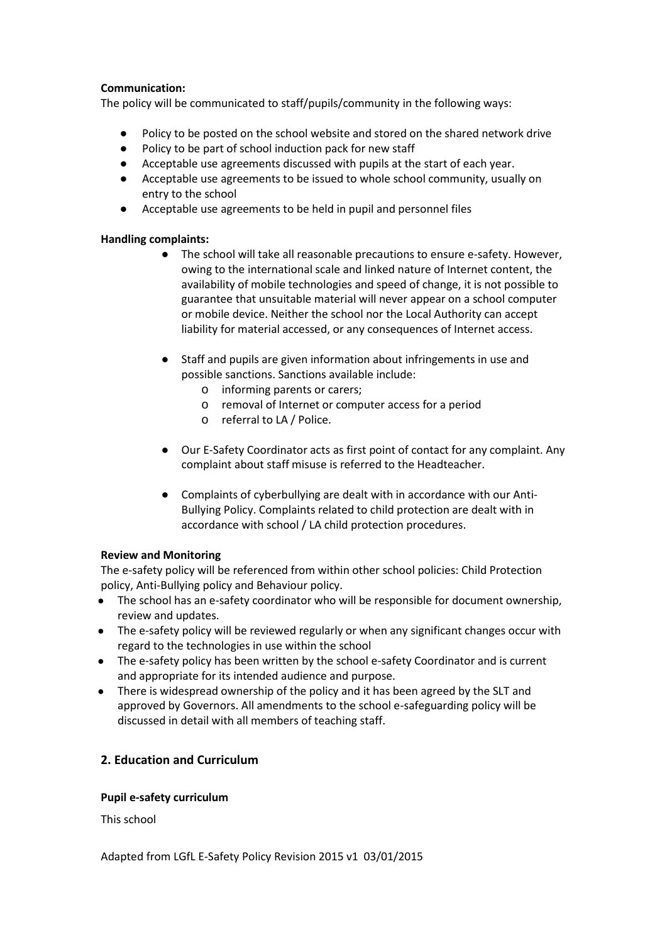# **Communication:**

The policy will be communicated to staff/pupils/community in the following ways:

- Policy to be posted on the school website and stored on the shared network drive
- Policy to be part of school induction pack for new staff
- Acceptable use agreements discussed with pupils at the start of each year.
- Acceptable use agreements to be issued to whole school community, usually on entry to the school
- Acceptable use agreements to be held in pupil and personnel files

## **Handling complaints:**

- The school will take all reasonable precautions to ensure e-safety. However, owing to the international scale and linked nature of Internet content, the availability of mobile technologies and speed of change, it is not possible to guarantee that unsuitable material will never appear on a school computer or mobile device. Neither the school nor the Local Authority can accept liability for material accessed, or any consequences of Internet access.
- Staff and pupils are given information about infringements in use and possible sanctions. Sanctions available include:
	- o informing parents or carers;
	- o removal of Internet or computer access for a period
	- o referral to LA / Police.
- Our E-Safety Coordinator acts as first point of contact for any complaint. Any complaint about staff misuse is referred to the Headteacher.
- Complaints of cyberbullying are dealt with in accordance with our Anti-Bullying Policy. Complaints related to child protection are dealt with in accordance with school / LA child protection procedures.

## **Review and Monitoring**

The e-safety policy will be referenced from within other school policies: Child Protection policy, Anti-Bullying policy and Behaviour policy.

- The school has an e-safety coordinator who will be responsible for document ownership, review and updates.
- The e-safety policy will be reviewed regularly or when any significant changes occur with regard to the technologies in use within the school
- The e-safety policy has been written by the school e-safety Coordinator and is current and appropriate for its intended audience and purpose.
- There is widespread ownership of the policy and it has been agreed by the SLT and approved by Governors. All amendments to the school e-safeguarding policy will be discussed in detail with all members of teaching staff.

# **2. Education and Curriculum**

## **Pupil e-safety curriculum**

This school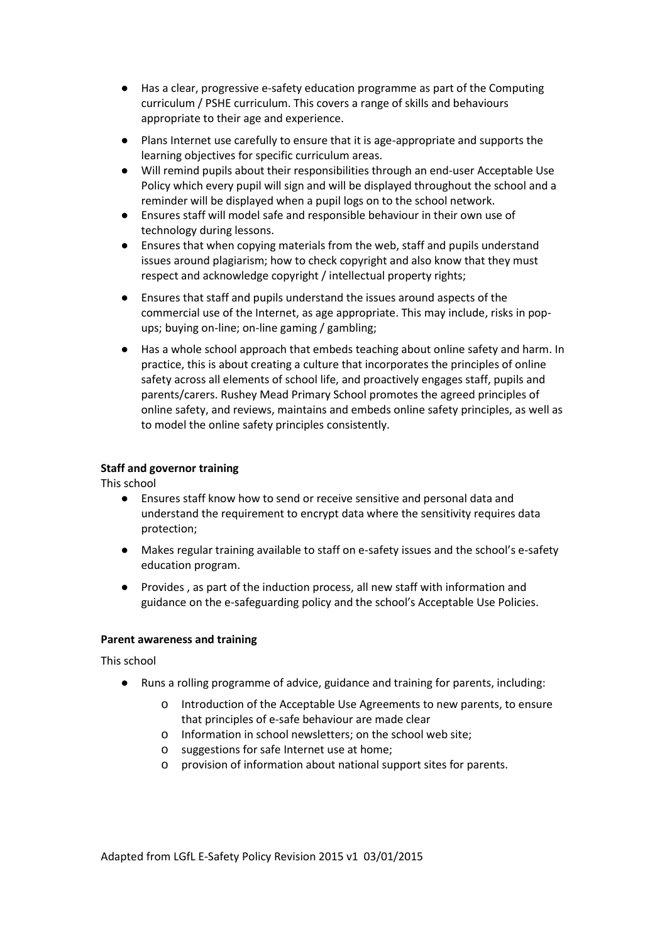- Has a clear, progressive e-safety education programme as part of the Computing curriculum / PSHE curriculum. This covers a range of skills and behaviours appropriate to their age and experience.
- Plans Internet use carefully to ensure that it is age-appropriate and supports the learning objectives for specific curriculum areas.
- Will remind pupils about their responsibilities through an end-user Acceptable Use Policy which every pupil will sign and will be displayed throughout the school and a reminder will be displayed when a pupil logs on to the school network.
- Ensures staff will model safe and responsible behaviour in their own use of technology during lessons.
- Ensures that when copying materials from the web, staff and pupils understand issues around plagiarism; how to check copyright and also know that they must respect and acknowledge copyright / intellectual property rights;
- Ensures that staff and pupils understand the issues around aspects of the commercial use of the Internet, as age appropriate. This may include, risks in popups; buying on-line; on-line gaming / gambling;
- Has a whole school approach that embeds teaching about online safety and harm. In practice, this is about creating a culture that incorporates the principles of online safety across all elements of school life, and proactively engages staff, pupils and parents/carers. Rushey Mead Primary School promotes the agreed principles of online safety, and reviews, maintains and embeds online safety principles, as well as to model the online safety principles consistently.

# **Staff and governor training**

This school

- Ensures staff know how to send or receive sensitive and personal data and understand the requirement to encrypt data where the sensitivity requires data protection;
- Makes regular training available to staff on e-safety issues and the school's e-safety education program.
- Provides , as part of the induction process, all new staff with information and guidance on the e-safeguarding policy and the school's Acceptable Use Policies.

## **Parent awareness and training**

## This school

- Runs a rolling programme of advice, guidance and training for parents, including:
	- o Introduction of the Acceptable Use Agreements to new parents, to ensure that principles of e-safe behaviour are made clear
	- o Information in school newsletters; on the school web site;
	- o suggestions for safe Internet use at home;
	- o provision of information about national support sites for parents.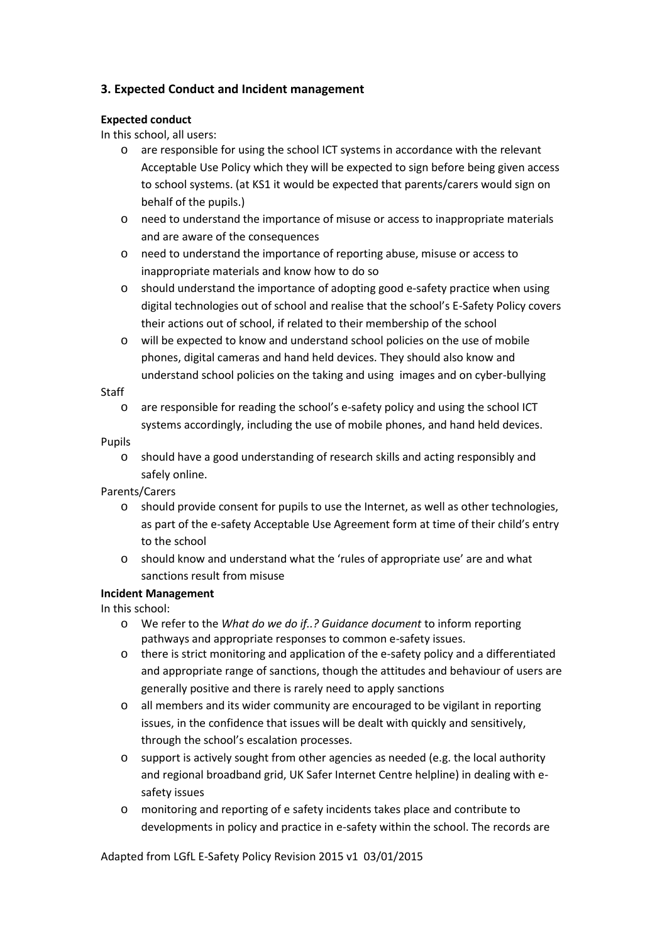# **3. Expected Conduct and Incident management**

# **Expected conduct**

In this school, all users:

- o are responsible for using the school ICT systems in accordance with the relevant Acceptable Use Policy which they will be expected to sign before being given access to school systems. (at KS1 it would be expected that parents/carers would sign on behalf of the pupils.)
- o need to understand the importance of misuse or access to inappropriate materials and are aware of the consequences
- o need to understand the importance of reporting abuse, misuse or access to inappropriate materials and know how to do so
- o should understand the importance of adopting good e-safety practice when using digital technologies out of school and realise that the school's E-Safety Policy covers their actions out of school, if related to their membership of the school
- o will be expected to know and understand school policies on the use of mobile phones, digital cameras and hand held devices. They should also know and understand school policies on the taking and using images and on cyber-bullying

## Staff

o are responsible for reading the school's e-safety policy and using the school ICT systems accordingly, including the use of mobile phones, and hand held devices.

## Pupils

o should have a good understanding of research skills and acting responsibly and safely online.

## Parents/Carers

- o should provide consent for pupils to use the Internet, as well as other technologies, as part of the e-safety Acceptable Use Agreement form at time of their child's entry to the school
- o should know and understand what the 'rules of appropriate use' are and what sanctions result from misuse

# **Incident Management**

In this school:

- o We refer to the *What do we do if..? Guidance document* to inform reporting pathways and appropriate responses to common e-safety issues.
- o there is strict monitoring and application of the e-safety policy and a differentiated and appropriate range of sanctions, though the attitudes and behaviour of users are generally positive and there is rarely need to apply sanctions
- o all members and its wider community are encouraged to be vigilant in reporting issues, in the confidence that issues will be dealt with quickly and sensitively, through the school's escalation processes.
- o support is actively sought from other agencies as needed (e.g. the local authority and regional broadband grid, UK Safer Internet Centre helpline) in dealing with esafety issues
- o monitoring and reporting of e safety incidents takes place and contribute to developments in policy and practice in e-safety within the school. The records are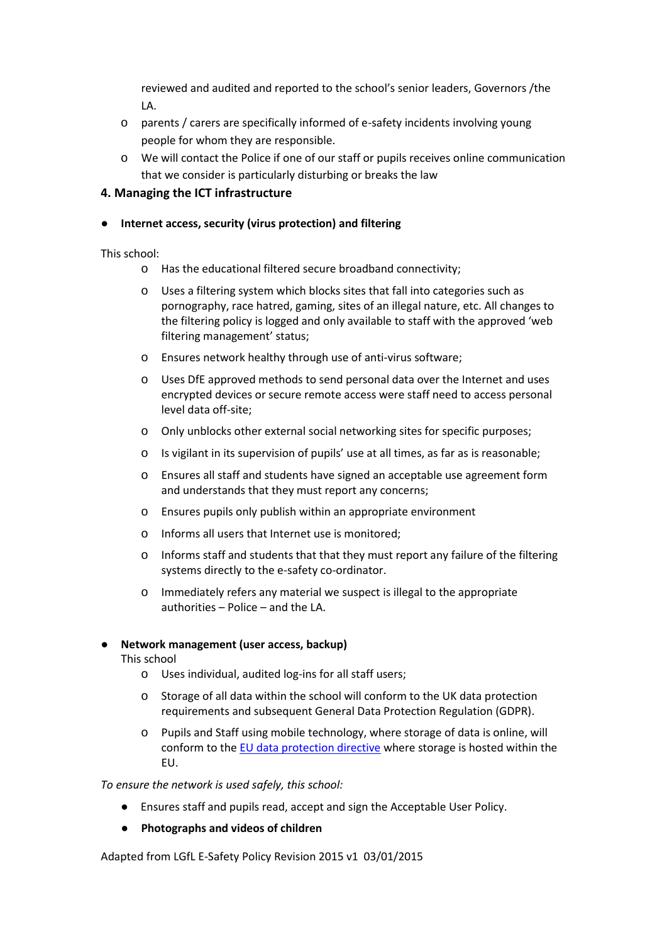reviewed and audited and reported to the school's senior leaders, Governors /the LA.

- o parents / carers are specifically informed of e-safety incidents involving young people for whom they are responsible.
- o We will contact the Police if one of our staff or pupils receives online communication that we consider is particularly disturbing or breaks the law

# **4. Managing the ICT infrastructure**

# **Internet access, security (virus protection) and filtering**

This school:

- o Has the educational filtered secure broadband connectivity;
- o Uses a filtering system which blocks sites that fall into categories such as pornography, race hatred, gaming, sites of an illegal nature, etc. All changes to the filtering policy is logged and only available to staff with the approved 'web filtering management' status;
- o Ensures network healthy through use of anti-virus software;
- o Uses DfE approved methods to send personal data over the Internet and uses encrypted devices or secure remote access were staff need to access personal level data off-site;
- o Only unblocks other external social networking sites for specific purposes;
- o Is vigilant in its supervision of pupils' use at all times, as far as is reasonable;
- o Ensures all staff and students have signed an acceptable use agreement form and understands that they must report any concerns;
- o Ensures pupils only publish within an appropriate environment
- o Informs all users that Internet use is monitored;
- o Informs staff and students that that they must report any failure of the filtering systems directly to the e-safety co-ordinator.
- o Immediately refers any material we suspect is illegal to the appropriate authorities – Police – and the LA.

## **Network management (user access, backup)**

This school

- o Uses individual, audited log-ins for all staff users;
- o Storage of all data within the school will conform to the UK data protection requirements and subsequent General Data Protection Regulation (GDPR).
- o Pupils and Staff using mobile technology, where storage of data is online, will conform to the [EU data protection directive](http://en.wikipedia.org/wiki/Data_Protection_Directive) where storage is hosted within the EU.

*To ensure the network is used safely, this school:*

- Ensures staff and pupils read, accept and sign the Acceptable User Policy.
- **Photographs and videos of children**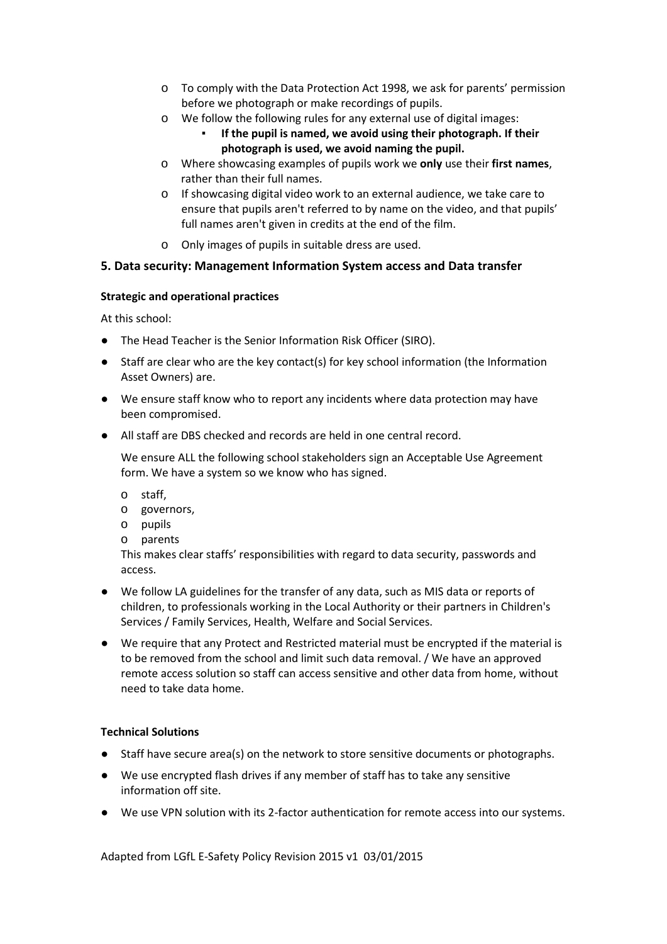- o To comply with the Data Protection Act 1998, we ask for parents' permission before we photograph or make recordings of pupils.
- o We follow the following rules for any external use of digital images:
	- If the pupil is named, we avoid using their photograph. If their **photograph is used, we avoid naming the pupil.**
- o Where showcasing examples of pupils work we **only** use their **first names**, rather than their full names.
- o If showcasing digital video work to an external audience, we take care to ensure that pupils aren't referred to by name on the video, and that pupils' full names aren't given in credits at the end of the film.
- o Only images of pupils in suitable dress are used.

# **5. Data security: Management Information System access and Data transfer**

# **Strategic and operational practices**

At this school:

- The Head Teacher is the Senior Information Risk Officer (SIRO).
- Staff are clear who are the key contact(s) for key school information (the Information Asset Owners) are.
- We ensure staff know who to report any incidents where data protection may have been compromised.
- All staff are DBS checked and records are held in one central record.

We ensure ALL the following school stakeholders sign an Acceptable Use Agreement form. We have a system so we know who has signed.

- o staff,
- o governors,
- o pupils
- o parents

This makes clear staffs' responsibilities with regard to data security, passwords and access.

- We follow LA guidelines for the transfer of any data, such as MIS data or reports of children, to professionals working in the Local Authority or their partners in Children's Services / Family Services, Health, Welfare and Social Services.
- We require that any Protect and Restricted material must be encrypted if the material is to be removed from the school and limit such data removal. / We have an approved remote access solution so staff can access sensitive and other data from home, without need to take data home.

# **Technical Solutions**

- Staff have secure area(s) on the network to store sensitive documents or photographs.
- We use encrypted flash drives if any member of staff has to take any sensitive information off site.
- We use VPN solution with its 2-factor authentication for remote access into our systems.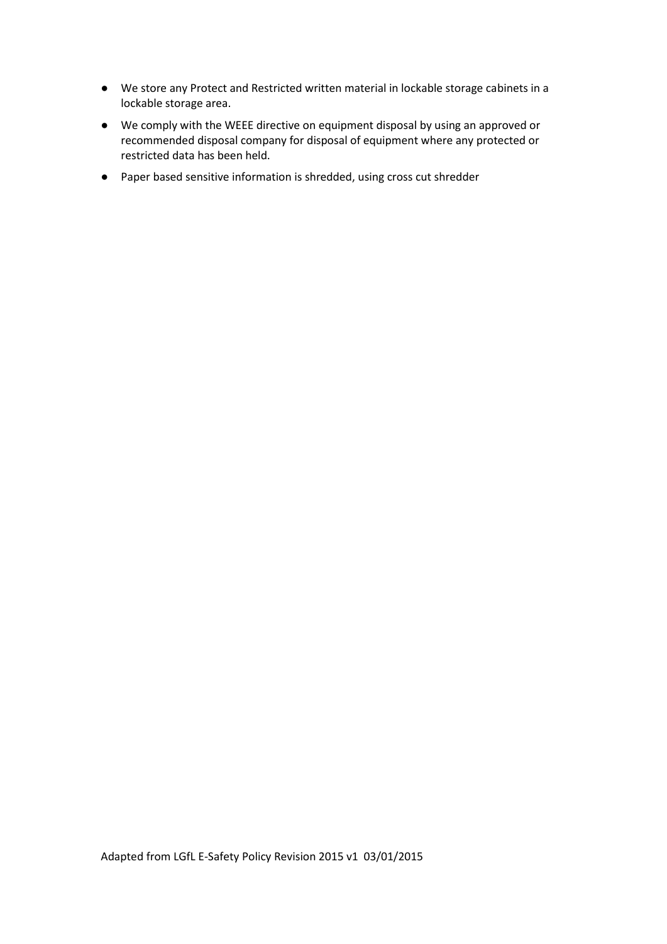- We store any Protect and Restricted written material in lockable storage cabinets in a lockable storage area.
- We comply with the WEEE directive on equipment disposal by using an approved or recommended disposal company for disposal of equipment where any protected or restricted data has been held.
- Paper based sensitive information is shredded, using cross cut shredder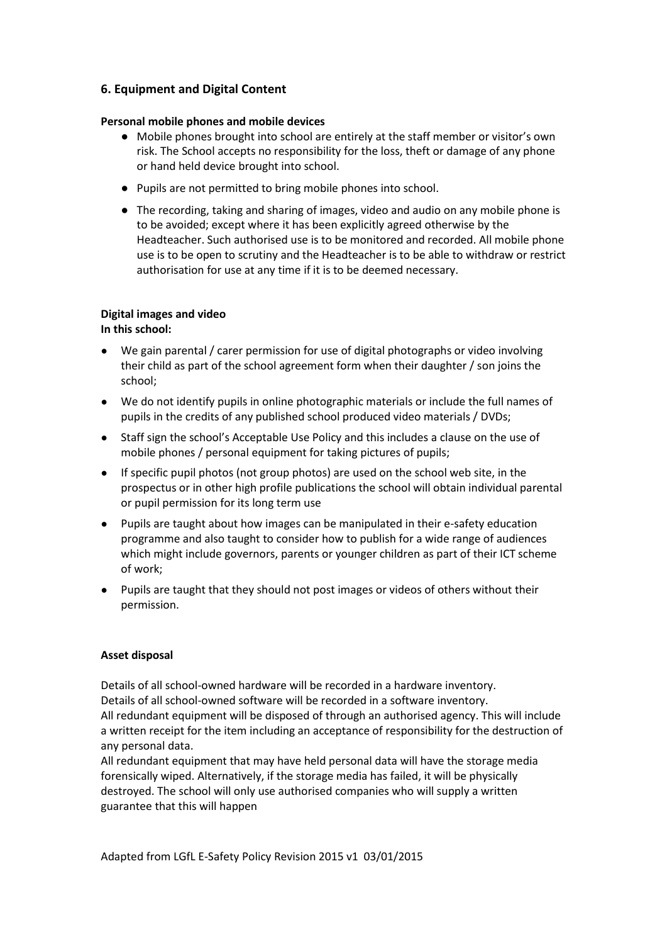# **6. Equipment and Digital Content**

# **Personal mobile phones and mobile devices**

- Mobile phones brought into school are entirely at the staff member or visitor's own risk. The School accepts no responsibility for the loss, theft or damage of any phone or hand held device brought into school.
- Pupils are not permitted to bring mobile phones into school.
- The recording, taking and sharing of images, video and audio on any mobile phone is to be avoided; except where it has been explicitly agreed otherwise by the Headteacher. Such authorised use is to be monitored and recorded. All mobile phone use is to be open to scrutiny and the Headteacher is to be able to withdraw or restrict authorisation for use at any time if it is to be deemed necessary.

#### **Digital images and video In this school:**

- We gain parental / carer permission for use of digital photographs or video involving their child as part of the school agreement form when their daughter / son joins the school;
- We do not identify pupils in online photographic materials or include the full names of pupils in the credits of any published school produced video materials / DVDs;
- Staff sign the school's Acceptable Use Policy and this includes a clause on the use of mobile phones / personal equipment for taking pictures of pupils;
- If specific pupil photos (not group photos) are used on the school web site, in the prospectus or in other high profile publications the school will obtain individual parental or pupil permission for its long term use
- Pupils are taught about how images can be manipulated in their e-safety education programme and also taught to consider how to publish for a wide range of audiences which might include governors, parents or younger children as part of their ICT scheme of work;
- Pupils are taught that they should not post images or videos of others without their permission.

# **Asset disposal**

Details of all school-owned hardware will be recorded in a hardware inventory. Details of all school-owned software will be recorded in a software inventory.

All redundant equipment will be disposed of through an authorised agency. This will include a written receipt for the item including an acceptance of responsibility for the destruction of any personal data.

All redundant equipment that may have held personal data will have the storage media forensically wiped. Alternatively, if the storage media has failed, it will be physically destroyed. The school will only use authorised companies who will supply a written guarantee that this will happen